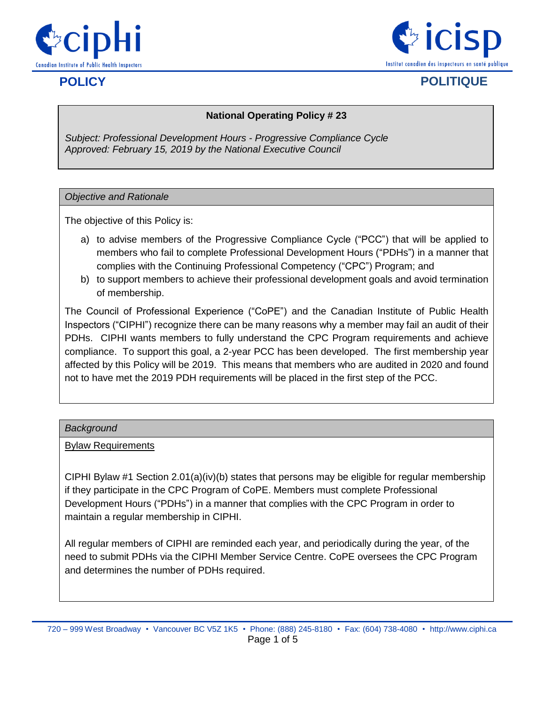



# **POLICY POLITIQUE**

## **National Operating Policy # 23**

*Subject: Professional Development Hours - Progressive Compliance Cycle Approved: February 15, 2019 by the National Executive Council*

#### *Objective and Rationale*

The objective of this Policy is:

- a) to advise members of the Progressive Compliance Cycle ("PCC") that will be applied to members who fail to complete Professional Development Hours ("PDHs") in a manner that complies with the Continuing Professional Competency ("CPC") Program; and
- b) to support members to achieve their professional development goals and avoid termination of membership.

The Council of Professional Experience ("CoPE") and the Canadian Institute of Public Health Inspectors ("CIPHI") recognize there can be many reasons why a member may fail an audit of their PDHs. CIPHI wants members to fully understand the CPC Program requirements and achieve compliance. To support this goal, a 2-year PCC has been developed. The first membership year affected by this Policy will be 2019. This means that members who are audited in 2020 and found not to have met the 2019 PDH requirements will be placed in the first step of the PCC.

#### *Background*

#### Bylaw Requirements

CIPHI Bylaw #1 Section  $2.01(a)(iv)(b)$  states that persons may be eligible for regular membership if they participate in the CPC Program of CoPE. Members must complete Professional Development Hours ("PDHs") in a manner that complies with the CPC Program in order to maintain a regular membership in CIPHI.

All regular members of CIPHI are reminded each year, and periodically during the year, of the need to submit PDHs via the CIPHI Member Service Centre. CoPE oversees the CPC Program and determines the number of PDHs required.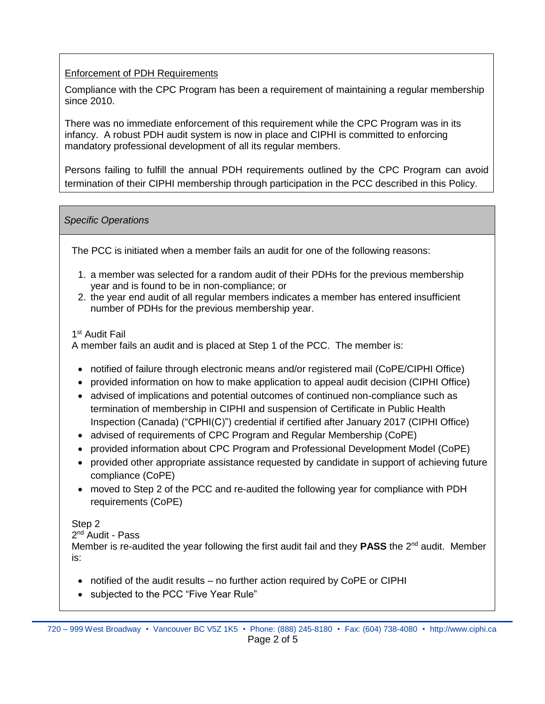## Enforcement of PDH Requirements

Compliance with the CPC Program has been a requirement of maintaining a regular membership since 2010.

There was no immediate enforcement of this requirement while the CPC Program was in its infancy. A robust PDH audit system is now in place and CIPHI is committed to enforcing mandatory professional development of all its regular members.

Persons failing to fulfill the annual PDH requirements outlined by the CPC Program can avoid termination of their CIPHI membership through participation in the PCC described in this Policy.

## *Specific Operations*

The PCC is initiated when a member fails an audit for one of the following reasons:

- 1. a member was selected for a random audit of their PDHs for the previous membership year and is found to be in non-compliance; or
- 2. the year end audit of all regular members indicates a member has entered insufficient number of PDHs for the previous membership year.

## 1 st Audit Fail

A member fails an audit and is placed at Step 1 of the PCC. The member is:

- notified of failure through electronic means and/or registered mail (CoPE/CIPHI Office)
- provided information on how to make application to appeal audit decision (CIPHI Office)
- advised of implications and potential outcomes of continued non-compliance such as termination of membership in CIPHI and suspension of Certificate in Public Health Inspection (Canada) ("CPHI(C)") credential if certified after January 2017 (CIPHI Office)
- advised of requirements of CPC Program and Regular Membership (CoPE)
- provided information about CPC Program and Professional Development Model (CoPE)
- provided other appropriate assistance requested by candidate in support of achieving future compliance (CoPE)
- moved to Step 2 of the PCC and re-audited the following year for compliance with PDH requirements (CoPE)

## Step 2

#### 2<sup>nd</sup> Audit - Pass

Member is re-audited the year following the first audit fail and they **PASS** the  $2^{nd}$  audit. Member is:

- notified of the audit results no further action required by CoPE or CIPHI
- subjected to the PCC "Five Year Rule"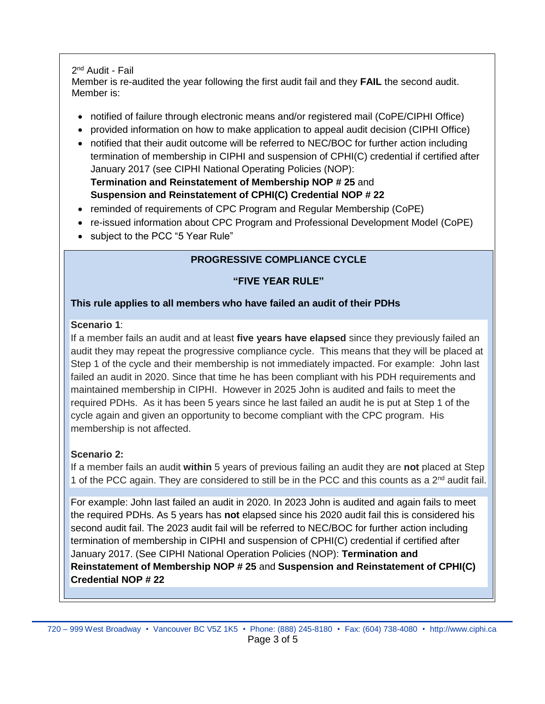## 2<sup>nd</sup> Audit - Fail

Member is re-audited the year following the first audit fail and they **FAIL** the second audit. Member is:

- notified of failure through electronic means and/or registered mail (CoPE/CIPHI Office)
- provided information on how to make application to appeal audit decision (CIPHI Office)
- notified that their audit outcome will be referred to NEC/BOC for further action including termination of membership in CIPHI and suspension of CPHI(C) credential if certified after January 2017 (see CIPHI National Operating Policies (NOP):

**Termination and Reinstatement of Membership NOP # 25** and **Suspension and Reinstatement of CPHI(C) Credential NOP # 22**

- reminded of requirements of CPC Program and Regular Membership (CoPE)
- re-issued information about CPC Program and Professional Development Model (CoPE)
- subject to the PCC "5 Year Rule"

## **PROGRESSIVE COMPLIANCE CYCLE**

## **"FIVE YEAR RULE"**

## **This rule applies to all members who have failed an audit of their PDHs**

## **Scenario 1**:

If a member fails an audit and at least **five years have elapsed** since they previously failed an audit they may repeat the progressive compliance cycle. This means that they will be placed at Step 1 of the cycle and their membership is not immediately impacted. For example: John last failed an audit in 2020. Since that time he has been compliant with his PDH requirements and maintained membership in CIPHI. However in 2025 John is audited and fails to meet the required PDHs. As it has been 5 years since he last failed an audit he is put at Step 1 of the cycle again and given an opportunity to become compliant with the CPC program. His membership is not affected.

## **Scenario 2:**

If a member fails an audit **within** 5 years of previous failing an audit they are **not** placed at Step 1 of the PCC again. They are considered to still be in the PCC and this counts as a  $2^{nd}$  audit fail.

For example: John last failed an audit in 2020. In 2023 John is audited and again fails to meet the required PDHs. As 5 years has **not** elapsed since his 2020 audit fail this is considered his second audit fail. The 2023 audit fail will be referred to NEC/BOC for further action including termination of membership in CIPHI and suspension of CPHI(C) credential if certified after January 2017. (See CIPHI National Operation Policies (NOP): **Termination and Reinstatement of Membership NOP # 25** and **Suspension and Reinstatement of CPHI(C) Credential NOP # 22**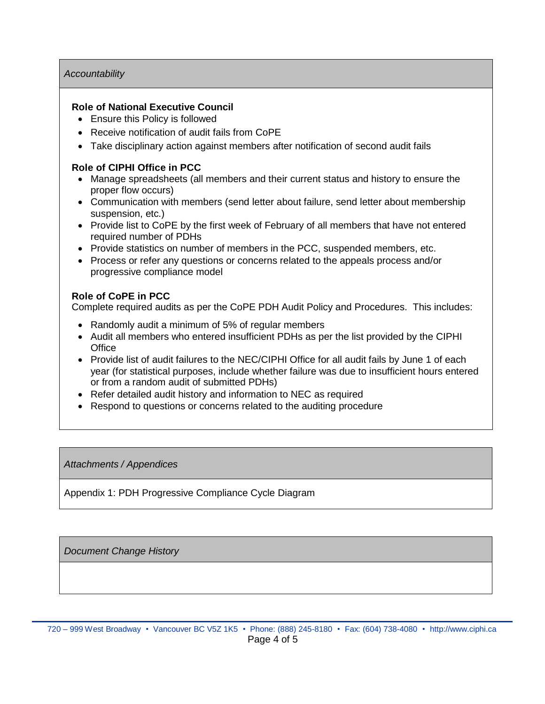#### *Accountability*

#### **Role of National Executive Council**

- Ensure this Policy is followed
- Receive notification of audit fails from CoPE
- Take disciplinary action against members after notification of second audit fails

#### **Role of CIPHI Office in PCC**

- Manage spreadsheets (all members and their current status and history to ensure the proper flow occurs)
- Communication with members (send letter about failure, send letter about membership suspension, etc.)
- Provide list to CoPE by the first week of February of all members that have not entered required number of PDHs
- Provide statistics on number of members in the PCC, suspended members, etc.
- Process or refer any questions or concerns related to the appeals process and/or progressive compliance model

#### **Role of CoPE in PCC**

Complete required audits as per the CoPE PDH Audit Policy and Procedures. This includes:

- Randomly audit a minimum of 5% of regular members
- Audit all members who entered insufficient PDHs as per the list provided by the CIPHI **Office**
- Provide list of audit failures to the NEC/CIPHI Office for all audit fails by June 1 of each year (for statistical purposes, include whether failure was due to insufficient hours entered or from a random audit of submitted PDHs)
- Refer detailed audit history and information to NEC as required
- Respond to questions or concerns related to the auditing procedure

#### *Attachments / Appendices*

Appendix 1: PDH Progressive Compliance Cycle Diagram

*Document Change History*